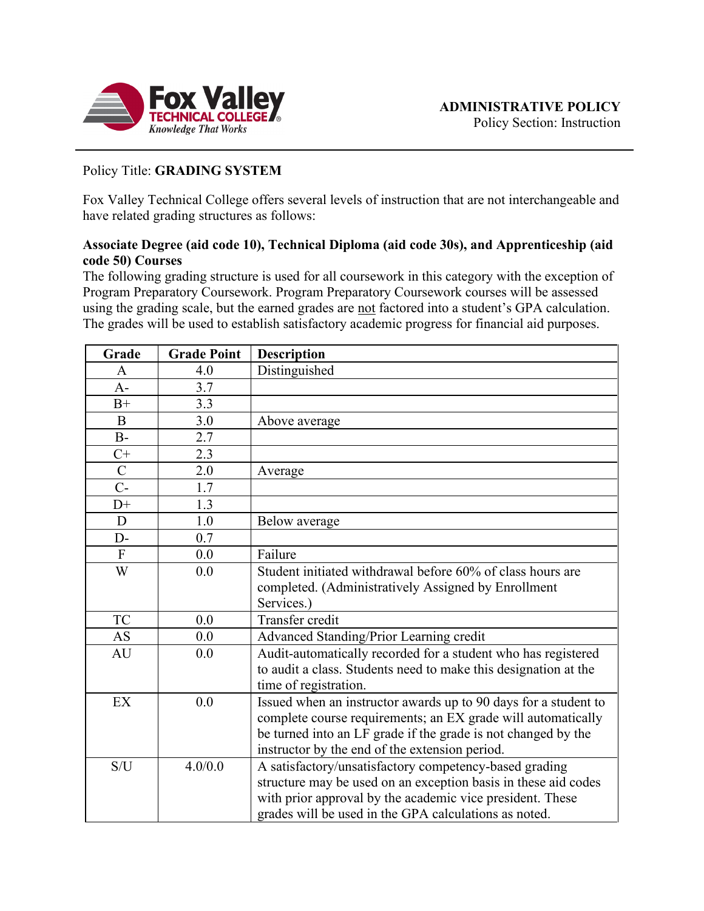

Policy Section: Instruction

# Policy Title: **GRADING SYSTEM**

Fox Valley Technical College offers several levels of instruction that are not interchangeable and have related grading structures as follows:

### **Associate Degree (aid code 10), Technical Diploma (aid code 30s), and Apprenticeship (aid code 50) Courses**

The following grading structure is used for all coursework in this category with the exception of Program Preparatory Coursework. Program Preparatory Coursework courses will be assessed using the grading scale, but the earned grades are not factored into a student's GPA calculation. The grades will be used to establish satisfactory academic progress for financial aid purposes.

| Grade          | <b>Grade Point</b> | <b>Description</b>                                              |  |
|----------------|--------------------|-----------------------------------------------------------------|--|
| A              | 4.0                | Distinguished                                                   |  |
| $A-$           | 3.7                |                                                                 |  |
| $B+$           | 3.3                |                                                                 |  |
| $\bf{B}$       | 3.0                | Above average                                                   |  |
| $B-$           | 2.7                |                                                                 |  |
| $C+$           | 2.3                |                                                                 |  |
| $\overline{C}$ | 2.0                | Average                                                         |  |
| $C-$           | 1.7                |                                                                 |  |
| $D+$           | 1.3                |                                                                 |  |
| D              | 1.0                | Below average                                                   |  |
| $D-$           | 0.7                |                                                                 |  |
| $\overline{F}$ | 0.0                | Failure                                                         |  |
| W              | 0.0                | Student initiated withdrawal before 60% of class hours are      |  |
|                |                    | completed. (Administratively Assigned by Enrollment             |  |
|                |                    | Services.)                                                      |  |
| <b>TC</b>      | 0.0                | Transfer credit                                                 |  |
| AS             | 0.0                | Advanced Standing/Prior Learning credit                         |  |
| AU             | 0.0                | Audit-automatically recorded for a student who has registered   |  |
|                |                    | to audit a class. Students need to make this designation at the |  |
|                |                    | time of registration.                                           |  |
| EX             | 0.0                | Issued when an instructor awards up to 90 days for a student to |  |
|                |                    | complete course requirements; an EX grade will automatically    |  |
|                |                    | be turned into an LF grade if the grade is not changed by the   |  |
|                |                    | instructor by the end of the extension period.                  |  |
| S/U            | 4.0/0.0            | A satisfactory/unsatisfactory competency-based grading          |  |
|                |                    | structure may be used on an exception basis in these aid codes  |  |
|                |                    | with prior approval by the academic vice president. These       |  |
|                |                    | grades will be used in the GPA calculations as noted.           |  |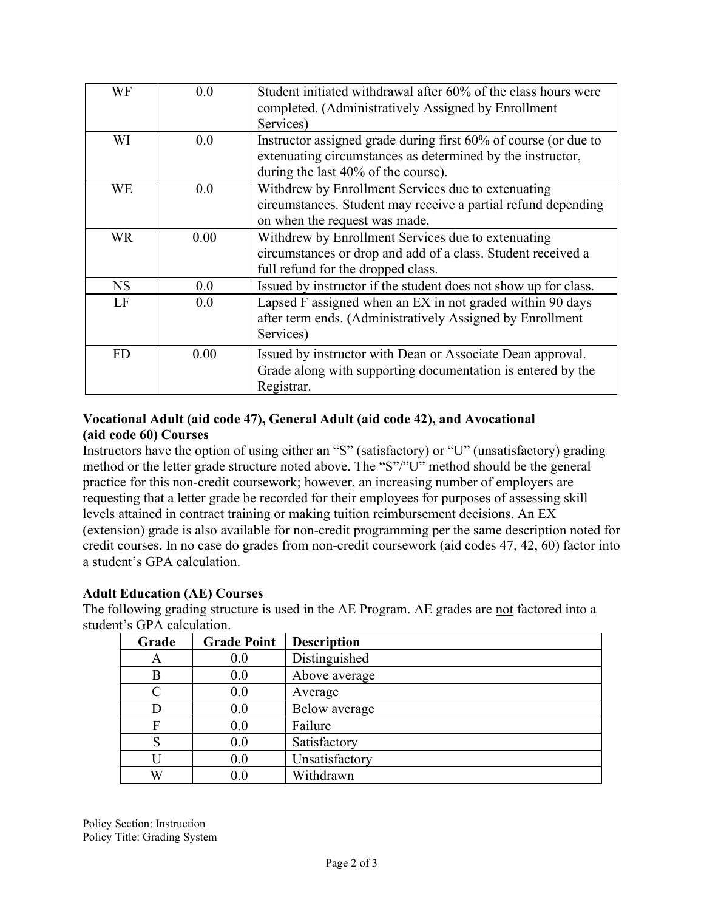| WF        | 0.0  | Student initiated withdrawal after 60% of the class hours were<br>completed. (Administratively Assigned by Enrollment<br>Services)                                   |  |
|-----------|------|----------------------------------------------------------------------------------------------------------------------------------------------------------------------|--|
| WI        | 0.0  | Instructor assigned grade during first 60% of course (or due to<br>extenuating circumstances as determined by the instructor,<br>during the last 40% of the course). |  |
| <b>WE</b> | 0.0  | Withdrew by Enrollment Services due to extenuating<br>circumstances. Student may receive a partial refund depending<br>on when the request was made.                 |  |
| WR.       | 0.00 | Withdrew by Enrollment Services due to extenuating<br>circumstances or drop and add of a class. Student received a<br>full refund for the dropped class.             |  |
| <b>NS</b> | 0.0  | Issued by instructor if the student does not show up for class.                                                                                                      |  |
| LF        | 0.0  | Lapsed F assigned when an EX in not graded within 90 days<br>after term ends. (Administratively Assigned by Enrollment<br>Services)                                  |  |
| <b>FD</b> | 0.00 | Issued by instructor with Dean or Associate Dean approval.<br>Grade along with supporting documentation is entered by the<br>Registrar.                              |  |

### **Vocational Adult (aid code 47), General Adult (aid code 42), and Avocational (aid code 60) Courses**

Instructors have the option of using either an "S" (satisfactory) or "U" (unsatisfactory) grading method or the letter grade structure noted above. The "S"/"U" method should be the general practice for this non-credit coursework; however, an increasing number of employers are requesting that a letter grade be recorded for their employees for purposes of assessing skill levels attained in contract training or making tuition reimbursement decisions. An EX (extension) grade is also available for non-credit programming per the same description noted for credit courses. In no case do grades from non-credit coursework (aid codes 47, 42, 60) factor into a student's GPA calculation.

## **Adult Education (AE) Courses**

The following grading structure is used in the AE Program. AE grades are not factored into a student's GPA calculation.

| Grade     | <b>Grade Point</b> | <b>Description</b> |
|-----------|--------------------|--------------------|
| А         | 0.0                | Distinguished      |
| B         | 0.0                | Above average      |
| $\subset$ | 0.0                | Average            |
|           | 0.0                | Below average      |
| F         | 0.0                | Failure            |
| S         | 0.0                | Satisfactory       |
|           | 0.0                | Unsatisfactory     |
| W         | 0.0                | Withdrawn          |